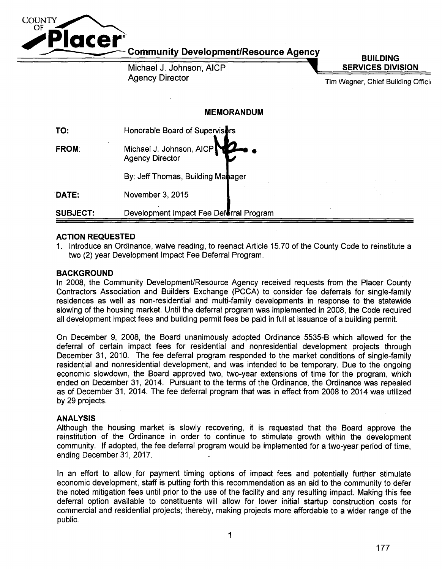

Community Development/Resource Agency

Michael J. Johnson, AICP Agency Director

**BUILDING SERVICES DIVISION** 

Tim Wegner, Chief Building Offici;

# **MEMORANDUM**

| TO:             | Honorable Board of Supervisors                     |  |
|-----------------|----------------------------------------------------|--|
| <b>FROM:</b>    | Michael J. Johnson, AICP<br><b>Agency Director</b> |  |
|                 | By: Jeff Thomas, Building Manager                  |  |
| DATE:           | November 3, 2015                                   |  |
| <b>SUBJECT:</b> | Development Impact Fee Deferral Program            |  |

# **ACTION REQUESTED**

1. Introduce an Ordinance, waive reading, to reenact Article 15.70 of the County Code to reinstitute a two (2) year Development Impact Fee Deferral Program.

# **BACKGROUND**

In 2008, the Community Development/Resource Agency received requests from the Placer County Contractors Association and Builders Exchange (PCCA) to consider fee deferrals for single-family residences as well as non-residential and multi-family developments in response to the statewide slowing of the housing market. Until the deferral program was implemented in 2008, the Code required all development impact fees and building permit fees be paid in full at issuance of a building permit.

On December 9, 2008, the Board unanimously adopted Ordinance 5535-B which allowed for the deferral of certain impact fees for residential and nonresidential development projects through December 31, 2010. The fee deferral program responded to the market conditions of single-family residential and nonresidential development, and was intended to be temporary. Due to the ongoing economic slowdown, the Board approved two, two-year extensions of time for the program, which ended on December 31, 2014. Pursuant to the terms of the Ordinance, the Ordinance was repealed as of December 31, 2014. The fee deferral program that was in effect from 2008 to 2014 was utilized by 29 projects.

# **ANALYSIS**

Although the housing market is slowly recovering, it is requested that the Board approve the reinstitution of the Ordinance in order to continue to stimulate growth within the development community. If adopted, the fee deferral program would be implemented for a two-year period of time, ending December 31, 2017.

In an effort to allow for payment timing options of impact fees and potentially further stimulate economic development, staff is putting forth this recommendation as an aid to the community to defer the noted mitigation fees until prior to the use of the facility and any resulting impact. Making this fee deferral option available to constituents will allow for lower initial startup construction costs for commercial and residential projects; thereby, making projects more affordable to a wider range of the public.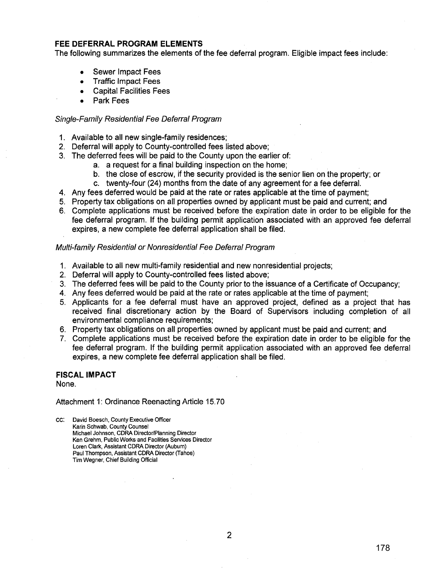## **FEE DEFERRAL PROGRAM ELEMENTS**

The following summarizes the elements of the fee deferral program. Eligible impact fees include:

- Sewer Impact Fees
- Traffic Impact Fees
- Capital Facilities Fees
- Park Fees

## Single-Family Residential Fee Deferral Program

- 1. Available to all new single-family residences;
- 2. Deferral will apply to County-controlled fees listed above;
- 3. The deferred fees will be paid to the County upon the earlier of:
	- a. a request for a final building inspection on the home;
	- b. the close of escrow, if the security provided is the senior lien on the property; or
	- c. twenty-four (24) months from the date of any agreement for a fee deferral.
- 4. Any fees deferred would be paid at the rate or rates applicable at the time of payment;
- 5. Property tax obligations on all properties owned by applicant must be paid and current; and
- 6. Complete applications must be received before the expiration date in order to be eligible for the fee deferral program. If the building permit application associated with an approved fee deferral expires, a new complete fee deferral application shall be filed.

## Multi-family Residential or Nonresidential Fee Deferral Program

- 1. Available to all new multi-family residential and new nonresidential projects;
- 2. Deferral will apply to County-controlled fees listed above;
- 3. The deferred fees will be paid to the County prior to the issuance of a Certificate of Occupancy;
- 4. Any fees deferred would be paid at the rate or rates applicable at the time of payment;
- 5. Applicants for a fee deferral must have an approved project, defined as a project that has received final discretionary action by the Board of Supervisors including completion of all environmental compliance requirements;
- 6. Property tax obligations on all properties owned by applicant must be paid and current; and
- 7. Complete applications must be received before the expiration date in order to be eligible for the fee deferral program. If the building permit application associated with an approved fee deferral expires, a new complete fee deferral application shall be filed.

# **FISCAL IMPACT**

None.

Attachment 1: Ordinance Reenacting Article 15.70

cc: David Boesch, County Executive Officer Karin Schwab, County Counsel Michael Johnson, CORA Director/Planning Director Ken Grehm, Public Works and Facilities Services Director Loren Clark, Assistant CORA Director (Auburn) Paul Thompson, Assistant CORA Director (Tahoe) Tim Wegner, Chief Building Official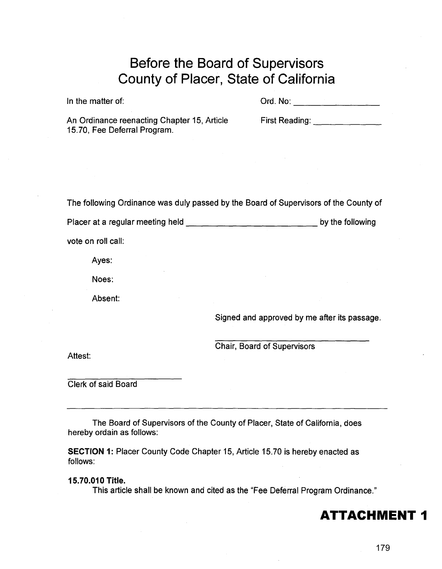# **Before the Board of Supervisors County of Placer, State of California**

In the matter of: Ord. No: \_\_\_\_\_\_\_ \_

An Ordinance reenacting Chapter 15, Article 15. 70, Fee Deferral Program.

First Reading: **Example** 

The following Ordinance was duly passed by the Board of Supervisors of the County of

Placer at a regular meeting held------------by the following

vote on roll call:

Ayes:

Noes:

Absent:

Signed and approved by me after its passage.

Chair, Board of Supervisors

Attest:

Clerk of said Board

The Board of Supervisors of the County of Placer, State of California, does hereby ordain as follows:

**SECTION 1:** Placer County Code Chapter 15, Article 15.70 is hereby enacted as follows:

**15.70.010 Title.** 

This article shall be known and cited as the "Fee Deferral Program Ordinance."

**ATTACHMENT 1**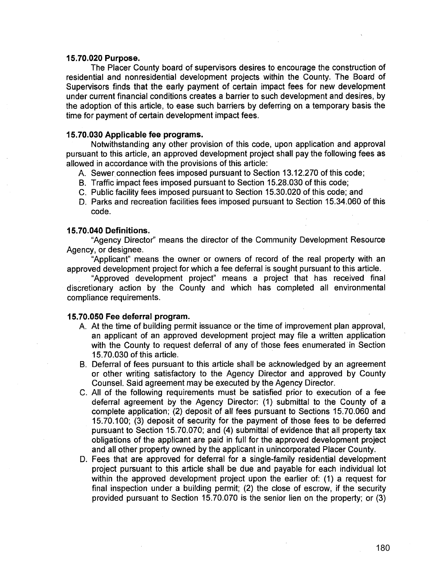### **15.70.020 Purpose.**

The Placer County board of supervisors desires to encourage the construction of residential and nonresidential development projects within the County. The Board of Supervisors finds that the early payment of certain impact fees for new development under current financial conditions creates a barrier to such development and desires, by the adoption of this article, to ease such barriers by deferring on a temporary basis the time for payment of certain development impact fees.

# **15.70.030 Applicable fee programs.**

Notwithstanding any other provision of this code, upon application and approval pursuant to this article, an approved development project shall pay the following fees as allowed in accordance with the provisions of this article:

- A. Sewer connection fees imposed pursuant to Section 13.12.270 of this code;
- B. Traffic impact fees imposed pursuant to Section 15.28.030 of this code;
- C. Public facility fees imposed pursuant to Section 15.30.020 of this code; and
- D. Parks and recreation facilities fees imposed pursuant to Section 15.34.060 of this code.

## **15.70.040 Definitions.**

"Agency Director" means the director of the Community Development Resource Agency, or designee.

"Applicant" means the owner or owners of record of the real property with an approved development project for which a fee deferral is sought pursuant to this article.

"Approved development project" means a project that has received final discretionary action by the County and which has completed all environmental compliance requirements.

## **15.70.050 Fee deferral program.**

- A. At the time of building permit issuance or the time of improvement plan approval, an applicant of an approved development project may file a written application with the County to request deferral of any of those fees enumerated in Section 15.70.030 of this article.
- B. Deferral of fees pursuant to this article shall be acknowledged by an agreement or other writing satisfactory to the Agency Director and approved by County Counsel. Said agreement may be executed by the Agency Director.
- C. All of the following requirements must be satisfied prior to execution of a fee deferral agreement by the Agency Director: (1) submittal to the County of a complete application; (2) deposit of all fees pursuant to Sections 15.70.060 and 15.70.1 00; (3) deposit of security for the payment of those fees to be deferred pursuant to Section 15.70.070; and (4) submittal of evidence that all property tax obligations of the applicant are paid in full for the approved development project and all other property owned by the applicant in unincorporated Placer County.
- D. Fees that are approved for deferral for a single-family residential development project pursuant to this article shall be due and payable for each individual lot within the approved development project upon the earlier of: (1) a request for final inspection under a building permit; (2) the close of escrow, if the security provided pursuant to Section 15.70.070 is the senior lien on the property; or (3)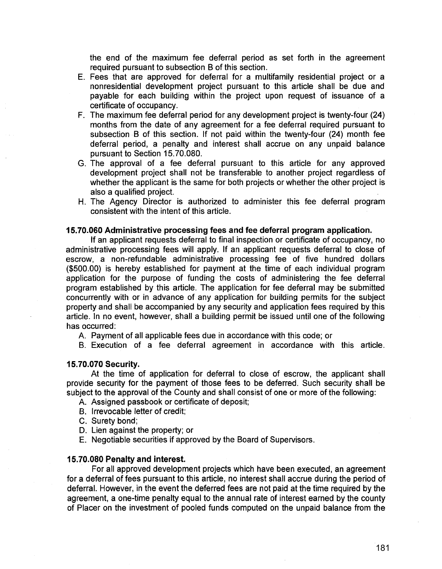the end of the maximum fee deferral period as set forth in the agreement required pursuant to subsection B of this section.

- E. Fees that are approved for deferral for a multifamily residential project or a nonresidential development project pursuant to this article shall be due and payable for each building within the project upon request of issuance of a certificate of occupancy.
- F. The maximum fee deferral period for any development project is twenty-four (24) months from the date of any agreement for a fee deferral required pursuant to subsection B of this section. If not paid within the twenty-four (24) month fee deferral period, a penalty and interest shall accrue on any unpaid balance pursuant to Section 15.70.080.
- G. The approval of a fee deferral pursuant to this article for any approved development project shall not be transferable to another project regardless of whether the applicant is the same for both projects or whether the other project is also a qualified project.
- H. The Agency Director is authorized to administer this fee deferral program consistent with the intent of this article.

## **15.70.060 Administrative processing fees and fee deferral program application.**

If an applicant requests deferral to final inspection or certificate of occupancy, no administrative processing fees will apply. If an applicant requests deferral to close of escrow, a non-refundable administrative processing fee of five hundred dollars (\$500.00) is hereby established for payment at the time of each individual program application for the purpose of funding the costs of administering the fee deferral program established by this article. The application for fee deferral may be submitted concurrently with or in advance of any application for building permits for the subject property and shall be accompanied by any security and application fees required by this article. In no event, however, shall a building permit be issued until one of the following has occurred:

A. Payment of all applicable fees due in accordance with this code; or

B. Execution of a fee deferral agreement in accordance with this article.

#### **15.70.070 Security.**

At the time of application for deferral to close of escrow, the applicant shall provide security for the payment of those fees to be deferred. Such security shall be subject to the approval of the County and shall consist of one or more of the following:

- A. Assigned passbook or certificate of deposit;
- B. Irrevocable letter of credit;
- C. Surety bond;
- D. Lien against the property; or
- E. Negotiable securities if approved by the Board of Supervisors.

#### **15.70.080 Penalty and interest.**

For all approved development projects which have been executed, an agreement for a deferral of fees pursuant to this article, no interest shall accrue during the period of deferral. However, in the event the deferred fees are not paid at the time required by the agreement, a one-time penalty equal to the annual rate of interest earned by the county of Placer on the investment of pooled funds computed on the unpaid balance from the